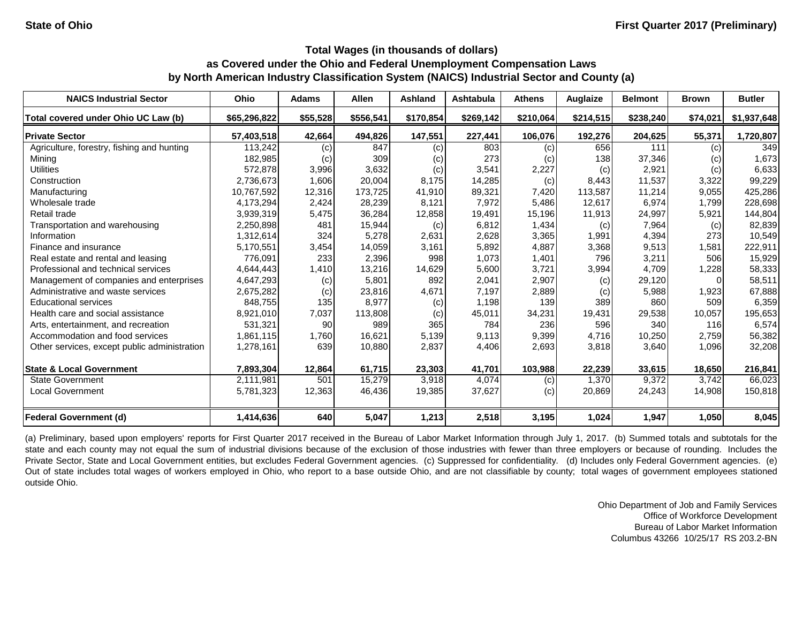| <b>NAICS Industrial Sector</b>               | <b>Ohio</b>  | <b>Adams</b> | <b>Allen</b> | <b>Ashland</b> | <b>Ashtabula</b> | <b>Athens</b> | Auglaize  | <b>Belmont</b> | <b>Brown</b> | <b>Butler</b> |
|----------------------------------------------|--------------|--------------|--------------|----------------|------------------|---------------|-----------|----------------|--------------|---------------|
| Total covered under Ohio UC Law (b)          | \$65,296,822 | \$55,528     | \$556,541    | \$170,854      | \$269,142        | \$210,064     | \$214,515 | \$238,240      | \$74,021     | \$1,937,648   |
| <b>Private Sector</b>                        | 57,403,518   | 42,664       | 494,826      | 147,551        | 227,441          | 106,076       | 192,276   | 204,625        | 55,371       | 1,720,807     |
| Agriculture, forestry, fishing and hunting   | 113,242      | (c)          | 847          | (c)            | 803              | (c)           | 656       | 111            | (c)          | 349           |
| Mining                                       | 182,985      | (c)          | 309          | (c)            | 273              | (c)           | 138       | 37,346         | (c)          | 1,673         |
| <b>Utilities</b>                             | 572,878      | 3,996        | 3,632        | (c)            | 3,541            | 2,227         | (c)       | 2,921          | (c)          | 6,633         |
| Construction                                 | 2,736,673    | 1,606        | 20,004       | 8,175          | 14,285           | (c)           | 8,443     | 11,537         | 3,322        | 99,229        |
| Manufacturing                                | 10,767,592   | 12,316       | 173,725      | 41,910         | 89,321           | 7,420         | 113,587   | 11,214         | 9,055        | 425,286       |
| Wholesale trade                              | 4,173,294    | 2,424        | 28,239       | 8,121          | 7,972            | 5,486         | 12,617    | 6,974          | 1,799        | 228,698       |
| Retail trade                                 | 3,939,319    | 5,475        | 36,284       | 12,858         | 19,491           | 15,196        | 11,913    | 24,997         | 5,921        | 144,804       |
| Transportation and warehousing               | 2,250,898    | 481          | 15,944       | (c)            | 6,812            | 1,434         | (c)       | 7,964          | (c)          | 82,839        |
| Information                                  | 1,312,614    | 324          | 5,278        | 2,631          | 2,628            | 3,365         | 1,991     | 4,394          | 273          | 10,549        |
| Finance and insurance                        | 5,170,551    | 3,454        | 14,059       | 3,161          | 5,892            | 4,887         | 3,368     | 9,513          | 1,581        | 222,911       |
| Real estate and rental and leasing           | 776,091      | 233          | 2,396        | 998            | 1,073            | 1,401         | 796       | 3,211          | 506          | 15,929        |
| Professional and technical services          | 4,644,443    | 1,410        | 13,216       | 14,629         | 5,600            | 3,721         | 3,994     | 4,709          | 1,228        | 58,333        |
| Management of companies and enterprises      | 4,647,293    | (c)          | 5,801        | 892            | 2,041            | 2,907         | (c)       | 29,120         |              | 58,511        |
| Administrative and waste services            | 2,675,282    | (c)          | 23,816       | 4,671          | 7,197            | 2,889         | (c)       | 5,988          | 1,923        | 67,888        |
| <b>Educational services</b>                  | 848,755      | 135          | 8,977        | (c)            | 1,198            | 139           | 389       | 860            | 509          | 6,359         |
| Health care and social assistance            | 8,921,010    | 7,037        | 113,808      | (c)            | 45,011           | 34,231        | 19,431    | 29,538         | 10,057       | 195,653       |
| Arts, entertainment, and recreation          | 531,321      | 90           | 989          | 365            | 784              | 236           | 596       | 340            | 116          | 6,574         |
| Accommodation and food services              | 1,861,115    | 1,760        | 16,621       | 5,139          | 9,113            | 9,399         | 4,716     | 10,250         | 2,759        | 56,382        |
| Other services, except public administration | 1,278,161    | 639          | 10,880       | 2,837          | 4,406            | 2,693         | 3,818     | 3,640          | 1,096        | 32,208        |
| <b>State &amp; Local Government</b>          | 7,893,304    | 12,864       | 61,715       | 23,303         | 41,701           | 103,988       | 22,239    | 33,615         | 18,650       | 216,841       |
| <b>State Government</b>                      | 2,111,981    | 501          | 15,279       | 3,918          | 4,074            | (c)           | 1,370     | 9,372          | 3,742        | 66,023        |
| <b>Local Government</b>                      | 5,781,323    | 12,363       | 46,436       | 19,385         | 37,627           | (c)           | 20,869    | 24,243         | 14,908       | 150,818       |
| Federal Government (d)                       | 1,414,636    | 640          | 5,047        | 1,213          | 2,518            | 3,195         | 1,024     | 1,947          | 1,050        | 8,045         |

(a) Preliminary, based upon employers' reports for First Quarter 2017 received in the Bureau of Labor Market Information through July 1, 2017. (b) Summed totals and subtotals for the state and each county may not equal the sum of industrial divisions because of the exclusion of those industries with fewer than three employers or because of rounding. Includes the Private Sector, State and Local Government entities, but excludes Federal Government agencies. (c) Suppressed for confidentiality. (d) Includes only Federal Government agencies. (e) Out of state includes total wages of workers employed in Ohio, who report to a base outside Ohio, and are not classifiable by county; total wages of government employees stationed outside Ohio.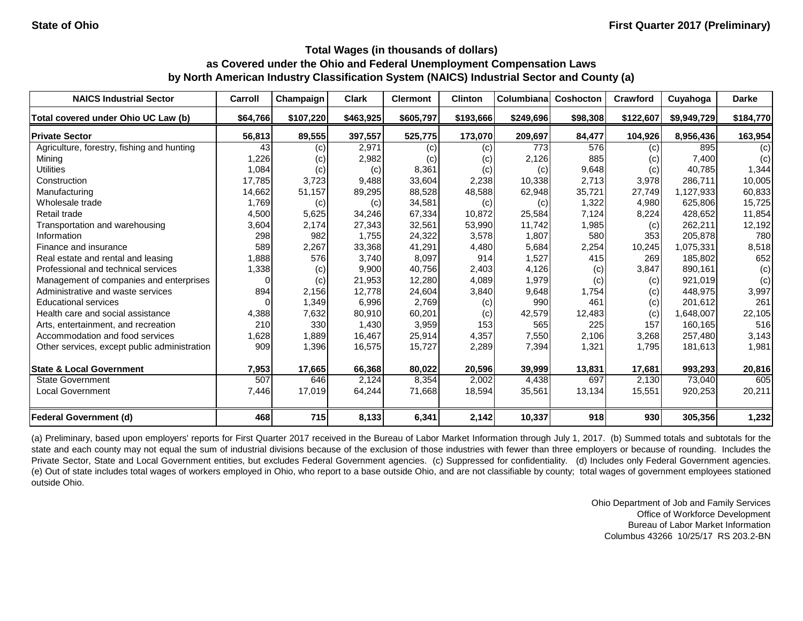| <b>NAICS Industrial Sector</b>               | <b>Carroll</b> | Champaign | <b>Clark</b> | <b>Clermont</b> | <b>Clinton</b> | Columbiana | Coshocton | Crawford  | Cuyahoga    | <b>Darke</b> |
|----------------------------------------------|----------------|-----------|--------------|-----------------|----------------|------------|-----------|-----------|-------------|--------------|
| Total covered under Ohio UC Law (b)          | \$64,766       | \$107,220 | \$463,925    | \$605,797       | \$193,666      | \$249,696  | \$98,308  | \$122,607 | \$9,949,729 | \$184,770    |
| <b>Private Sector</b>                        | 56,813         | 89,555    | 397,557      | 525,775         | 173,070        | 209,697    | 84,477    | 104,926   | 8,956,436   | 163,954      |
| Agriculture, forestry, fishing and hunting   | 43             | (c)       | 2,971        | (c)             | (c)            | 773        | 576       | (c)       | 895         | (c)          |
| Mining                                       | 1,226          | (c)       | 2,982        | (c)             | (c)            | 2,126      | 885       | (c)       | 7,400       | (c)          |
| <b>Utilities</b>                             | 1,084          | (c)       | (c)          | 8,361           | (c)            | (c)        | 9,648     | (c)       | 40,785      | 1,344        |
| Construction                                 | 17,785         | 3,723     | 9,488        | 33,604          | 2,238          | 10,338     | 2,713     | 3,978     | 286,711     | 10,005       |
| Manufacturing                                | 14,662         | 51,157    | 89,295       | 88,528          | 48,588         | 62,948     | 35,721    | 27,749    | 1,127,933   | 60,833       |
| Wholesale trade                              | 1,769          | (c)       | (c)          | 34,581          | (c)            | (c)        | 1,322     | 4,980     | 625,806     | 15,725       |
| Retail trade                                 | 4,500          | 5,625     | 34,246       | 67,334          | 10,872         | 25,584     | 7,124     | 8,224     | 428,652     | 11,854       |
| Transportation and warehousing               | 3,604          | 2,174     | 27,343       | 32,561          | 53,990         | 11,742     | 1,985     | (c)       | 262,211     | 12,192       |
| Information                                  | 298            | 982       | 1,755        | 24,322          | 3,578          | 1,807      | 580       | 353       | 205,878     | 780          |
| Finance and insurance                        | 589            | 2,267     | 33,368       | 41,291          | 4,480          | 5,684      | 2,254     | 10,245    | 1,075,331   | 8,518        |
| Real estate and rental and leasing           | 1,888          | 576       | 3,740        | 8,097           | 914            | 1,527      | 415       | 269       | 185,802     | 652          |
| Professional and technical services          | 1,338          | (c)       | 9,900        | 40,756          | 2,403          | 4,126      | (c)       | 3,847     | 890,161     | (c)          |
| Management of companies and enterprises      | $\Omega$       | (c)       | 21,953       | 12,280          | 4,089          | 1,979      | (c)       | (c)       | 921,019     | (c)          |
| Administrative and waste services            | 894            | 2,156     | 12,778       | 24,604          | 3,840          | 9,648      | 1,754     | (c)       | 448,975     | 3,997        |
| <b>Educational services</b>                  |                | 1,349     | 6,996        | 2,769           | (c)            | 990        | 461       | (c)       | 201,612     | 261          |
| Health care and social assistance            | 4,388          | 7,632     | 80,910       | 60,201          | (c)            | 42,579     | 12,483    | (c)       | 1,648,007   | 22,105       |
| Arts, entertainment, and recreation          | 210            | 330       | 1,430        | 3,959           | 153            | 565        | 225       | 157       | 160,165     | 516          |
| Accommodation and food services              | ,628           | 1,889     | 16,467       | 25,914          | 4,357          | 7,550      | 2,106     | 3,268     | 257,480     | 3,143        |
| Other services, except public administration | 909            | 1,396     | 16,575       | 15,727          | 2,289          | 7,394      | 1,321     | 1,795     | 181,613     | 1,981        |
| <b>State &amp; Local Government</b>          | 7,953          | 17,665    | 66,368       | 80,022          | 20,596         | 39,999     | 13,831    | 17,681    | 993,293     | 20,816       |
| <b>State Government</b>                      | 507            | 646       | 2,124        | 8,354           | 2,002          | 4,438      | 697       | 2,130     | 73,040      | 605          |
| <b>Local Government</b>                      | 7,446          | 17,019    | 64,244       | 71,668          | 18,594         | 35,561     | 13,134    | 15,551    | 920,253     | 20,211       |
| <b>Federal Government (d)</b>                | 468            | 715       | 8,133        | 6,341           | 2,142          | 10,337     | 918       | 930       | 305,356     | 1,232        |

(a) Preliminary, based upon employers' reports for First Quarter 2017 received in the Bureau of Labor Market Information through July 1, 2017. (b) Summed totals and subtotals for the state and each county may not equal the sum of industrial divisions because of the exclusion of those industries with fewer than three employers or because of rounding. Includes the Private Sector, State and Local Government entities, but excludes Federal Government agencies. (c) Suppressed for confidentiality. (d) Includes only Federal Government agencies. (e) Out of state includes total wages of workers employed in Ohio, who report to a base outside Ohio, and are not classifiable by county; total wages of government employees stationed outside Ohio.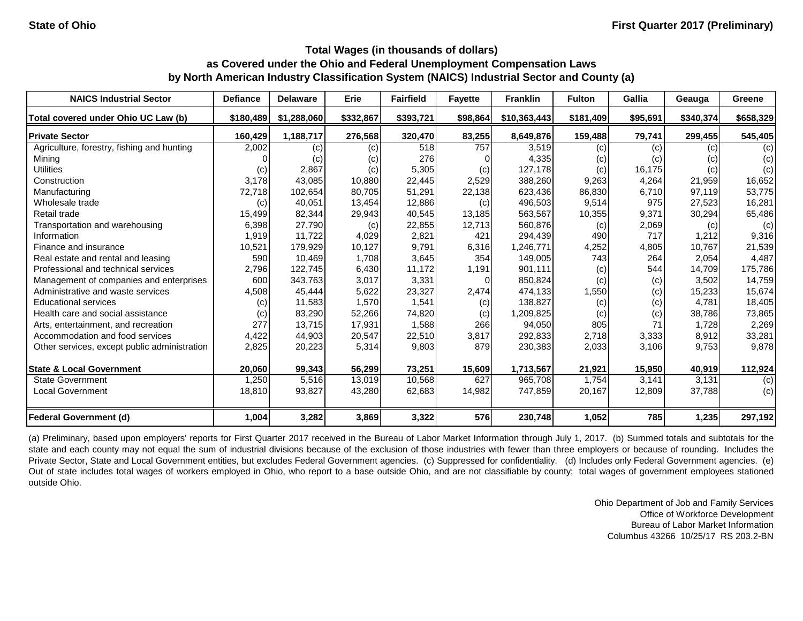| <b>NAICS Industrial Sector</b>               | <b>Defiance</b> | <b>Delaware</b> | Erie      | <b>Fairfield</b> | <b>Fayette</b> | <b>Franklin</b> | <b>Fulton</b> | Gallia   | Geauga    | Greene    |
|----------------------------------------------|-----------------|-----------------|-----------|------------------|----------------|-----------------|---------------|----------|-----------|-----------|
| Total covered under Ohio UC Law (b)          | \$180,489       | \$1,288,060     | \$332,867 | \$393,721        | \$98,864       | \$10,363,443    | \$181,409     | \$95,691 | \$340,374 | \$658,329 |
| <b>Private Sector</b>                        | 160,429         | 1,188,717       | 276,568   | 320,470          | 83,255         | 8,649,876       | 159,488       | 79,741   | 299,455   | 545,405   |
| Agriculture, forestry, fishing and hunting   | 2,002           | (c)             | (c)       | 518              | 757            | 3,519           | (c)           | (c)      | (c)       | (c)       |
| Mining                                       |                 | (c)             | (c)       | 276              |                | 4,335           | (c)           | (c)      | (c)       | (c)       |
| <b>Utilities</b>                             | (c)             | 2,867           | (c)       | 5,305            | (c)            | 127,178         | (c)           | 16,175   | (c)       | (c)       |
| Construction                                 | 3,178           | 43,085          | 10,880    | 22,445           | 2,529          | 388,260         | 9,263         | 4,264    | 21,959    | 16,652    |
| Manufacturing                                | 72,718          | 102,654         | 80,705    | 51,291           | 22,138         | 623,436         | 86,830        | 6,710    | 97,119    | 53,775    |
| Wholesale trade                              | (c)             | 40,051          | 13,454    | 12,886           | (c)            | 496,503         | 9,514         | 975      | 27,523    | 16,281    |
| Retail trade                                 | 15,499          | 82,344          | 29,943    | 40,545           | 13,185         | 563,567         | 10,355        | 9,371    | 30,294    | 65,486    |
| Transportation and warehousing               | 6,398           | 27,790          | (c)       | 22,855           | 12,713         | 560,876         | (c)           | 2,069    | (c)       | (c)       |
| Information                                  | 1,919           | 11,722          | 4,029     | 2,821            | 421            | 294,439         | 490           | 717      | 1,212     | 9,316     |
| Finance and insurance                        | 10,521          | 179,929         | 10,127    | 9,791            | 6,316          | 1,246,771       | 4,252         | 4,805    | 10,767    | 21,539    |
| Real estate and rental and leasing           | 590             | 10,469          | 1,708     | 3,645            | 354            | 149,005         | 743           | 264      | 2,054     | 4,487     |
| Professional and technical services          | 2,796           | 122,745         | 6,430     | 11,172           | 1,191          | 901,111         | (c)           | 544      | 14,709    | 175,786   |
| Management of companies and enterprises      | 600             | 343,763         | 3,017     | 3,331            | $\Omega$       | 850,824         | (c)           | (c)      | 3,502     | 14,759    |
| Administrative and waste services            | 4,508           | 45,444          | 5,622     | 23,327           | 2,474          | 474,133         | 1,550         | (c)      | 15,233    | 15,674    |
| <b>Educational services</b>                  | (c)             | 11,583          | 1,570     | 1,541            | (c)            | 138,827         | (c)           | (c)      | 4,781     | 18,405    |
| Health care and social assistance            | (c)             | 83,290          | 52,266    | 74,820           | (c)            | 1,209,825       | (c)           | (c)      | 38,786    | 73,865    |
| Arts, entertainment, and recreation          | 277             | 13,715          | 17,931    | 1,588            | 266            | 94,050          | 805           |          | 1,728     | 2,269     |
| Accommodation and food services              | 4,422           | 44,903          | 20,547    | 22,510           | 3,817          | 292,833         | 2,718         | 3,333    | 8,912     | 33,281    |
| Other services, except public administration | 2,825           | 20,223          | 5,314     | 9,803            | 879            | 230,383         | 2,033         | 3,106    | 9,753     | 9,878     |
| <b>State &amp; Local Government</b>          | 20,060          | 99,343          | 56,299    | 73,251           | 15,609         | 1,713,567       | 21,921        | 15,950   | 40,919    | 112,924   |
| <b>State Government</b>                      | 1,250           | 5,516           | 13,019    | 10,568           | 627            | 965,708         | 1,754         | 3,141    | 3,131     | (c)       |
| Local Government                             | 18,810          | 93,827          | 43,280    | 62,683           | 14,982         | 747,859         | 20,167        | 12,809   | 37,788    | (c)       |
| <b>Federal Government (d)</b>                | 1,004           | 3,282           | 3,869     | 3,322            | 576            | 230,748         | 1,052         | 785      | 1,235     | 297,192   |

(a) Preliminary, based upon employers' reports for First Quarter 2017 received in the Bureau of Labor Market Information through July 1, 2017. (b) Summed totals and subtotals for the state and each county may not equal the sum of industrial divisions because of the exclusion of those industries with fewer than three employers or because of rounding. Includes the Private Sector, State and Local Government entities, but excludes Federal Government agencies. (c) Suppressed for confidentiality. (d) Includes only Federal Government agencies. (e) Out of state includes total wages of workers employed in Ohio, who report to a base outside Ohio, and are not classifiable by county; total wages of government employees stationed outside Ohio.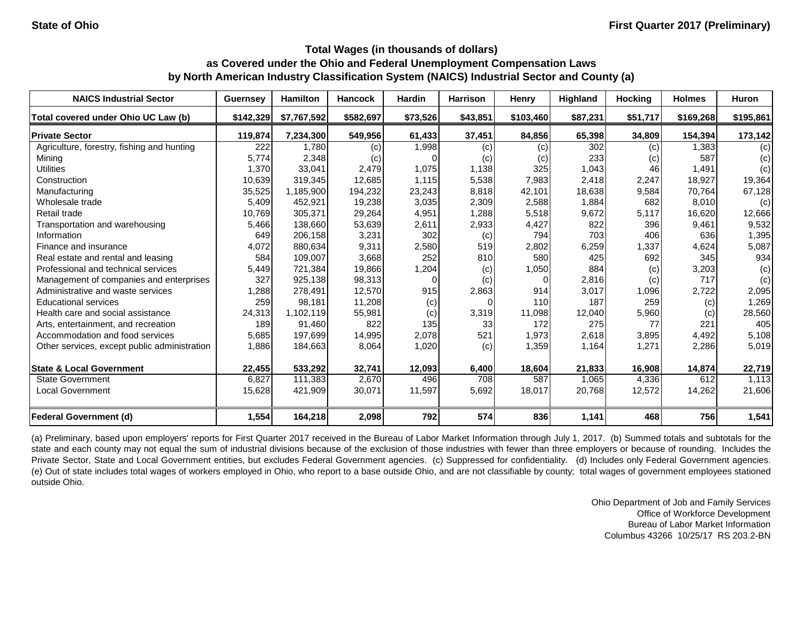| <b>NAICS Industrial Sector</b>               | <b>Guernsey</b> | <b>Hamilton</b> | <b>Hancock</b> | <b>Hardin</b> | <b>Harrison</b> | <b>Henry</b> | Highland | <b>Hocking</b> | <b>Holmes</b> | Huron     |
|----------------------------------------------|-----------------|-----------------|----------------|---------------|-----------------|--------------|----------|----------------|---------------|-----------|
| Total covered under Ohio UC Law (b)          | \$142,329       | \$7,767,592     | \$582,697      | \$73,526      | \$43,851        | \$103,460    | \$87,231 | \$51,717       | \$169,268     | \$195,861 |
| <b>Private Sector</b>                        | 119,874         | 7,234,300       | 549,956        | 61,433        | 37,451          | 84,856       | 65,398   | 34,809         | 154,394       | 173,142   |
| Agriculture, forestry, fishing and hunting   | 222             | 1,780           | (c)            | 1,998         | (c)             | (c)          | 302      | (c)            | 1,383         | (c)       |
| Mining                                       | 5,774           | 2,348           | (c)            |               | (c)             | (c)          | 233      | (c)            | 587           | (c)       |
| <b>Utilities</b>                             | 1,370           | 33,041          | 2,479          | 1,075         | 1,138           | 325          | 1,043    | 46             | 1,491         | (c)       |
| Construction                                 | 10,639          | 319,345         | 12,685         | 1,115         | 5,538           | 7,983        | 2,418    | 2,247          | 18,927        | 19,364    |
| Manufacturing                                | 35,525          | 1,185,900       | 194,232        | 23,243        | 8,818           | 42,101       | 18,638   | 9,584          | 70,764        | 67,128    |
| Wholesale trade                              | 5,409           | 452,921         | 19,238         | 3,035         | 2,309           | 2,588        | 1,884    | 682            | 8,010         | (c)       |
| Retail trade                                 | 10,769          | 305,371         | 29,264         | 4,951         | 1,288           | 5,518        | 9,672    | 5,117          | 16,620        | 12,666    |
| Transportation and warehousing               | 5,466           | 138,660         | 53,639         | 2,611         | 2,933           | 4,427        | 822      | 396            | 9,461         | 9,532     |
| Information                                  | 649             | 206,158         | 3,231          | 302           | (c)             | 794          | 703      | 406            | 636           | 1,395     |
| Finance and insurance                        | 4,072           | 880,634         | 9,311          | 2,580         | 519             | 2,802        | 6,259    | 1,337          | 4,624         | 5,087     |
| Real estate and rental and leasing           | 584             | 109,007         | 3,668          | 252           | 810             | 580          | 425      | 692            | 345           | 934       |
| Professional and technical services          | 5,449           | 721,384         | 19,866         | 1,204         | (c)             | 1,050        | 884      | (c)            | 3,203         | (c)       |
| Management of companies and enterprises      | 327             | 925,138         | 98,313         |               | (c)             | $\Omega$     | 2,816    | (c)            | 717           | (c)       |
| Administrative and waste services            | ,288            | 278,491         | 12,570         | 915           | 2,863           | 914          | 3,017    | 1,096          | 2,722         | 2,095     |
| <b>Educational services</b>                  | 259             | 98,181          | 11,208         | (c)           | $\Omega$        | 110          | 187      | 259            | (c)           | 1,269     |
| Health care and social assistance            | 24,313          | 1,102,119       | 55,981         | (c)           | 3,319           | 11,098       | 12,040   | 5,960          | (c)           | 28,560    |
| Arts, entertainment, and recreation          | 189             | 91,460          | 822            | 135           | 33              | 172          | 275      | 77             | 221           | 405       |
| Accommodation and food services              | 5,685           | 197,699         | 14,995         | 2,078         | 521             | 1,973        | 2,618    | 3,895          | 4,492         | 5,108     |
| Other services, except public administration | 1,886           | 184,663         | 8,064          | 1,020         | (c)             | 1,359        | 1,164    | 1,271          | 2,286         | 5,019     |
| <b>State &amp; Local Government</b>          | 22,455          | 533,292         | 32,741         | 12,093        | 6,400           | 18,604       | 21,833   | 16,908         | 14,874        | 22,719    |
| <b>State Government</b>                      | 6,827           | 111,383         | 2,670          | 496           | 708             | 587          | 1,065    | 4,336          | 612           | 1,113     |
| <b>Local Government</b>                      | 15,628          | 421,909         | 30,071         | 11,597        | 5,692           | 18,017       | 20,768   | 12,572         | 14,262        | 21,606    |
| <b>Federal Government (d)</b>                | 1,554           | 164,218         | 2,098          | 792           | 574             | 836          | 1,141    | 468            | 756           | 1,541     |

(a) Preliminary, based upon employers' reports for First Quarter 2017 received in the Bureau of Labor Market Information through July 1, 2017. (b) Summed totals and subtotals for the state and each county may not equal the sum of industrial divisions because of the exclusion of those industries with fewer than three employers or because of rounding. Includes the Private Sector, State and Local Government entities, but excludes Federal Government agencies. (c) Suppressed for confidentiality. (d) Includes only Federal Government agencies. (e) Out of state includes total wages of workers employed in Ohio, who report to a base outside Ohio, and are not classifiable by county; total wages of government employees stationed outside Ohio.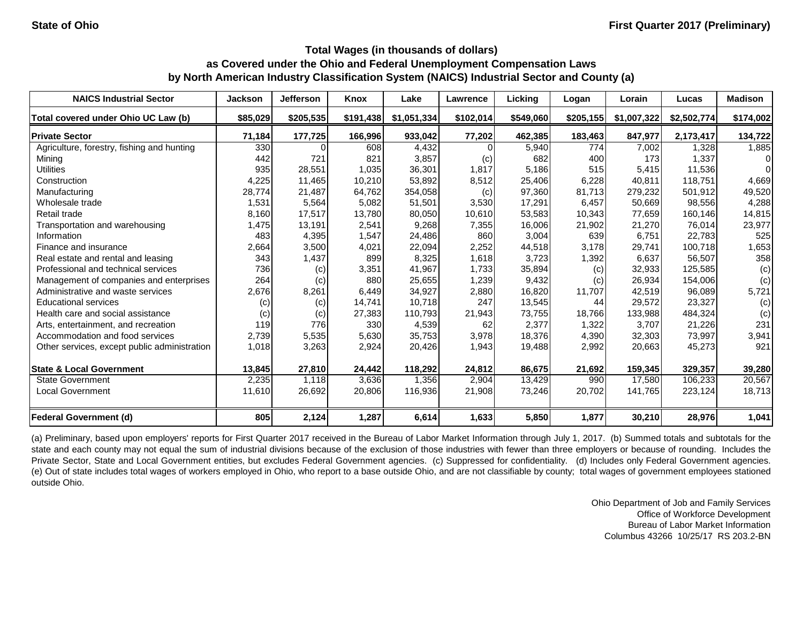| <b>NAICS Industrial Sector</b>               | <b>Jackson</b> | <b>Jefferson</b> | Knox      | Lake        | Lawrence  | Licking   | Logan     | Lorain      | Lucas       | <b>Madison</b> |
|----------------------------------------------|----------------|------------------|-----------|-------------|-----------|-----------|-----------|-------------|-------------|----------------|
| Total covered under Ohio UC Law (b)          | \$85,029       | \$205,535        | \$191,438 | \$1,051,334 | \$102,014 | \$549,060 | \$205,155 | \$1,007,322 | \$2,502,774 | \$174,002      |
| <b>Private Sector</b>                        | 71,184         | 177,725          | 166,996   | 933,042     | 77,202    | 462,385   | 183,463   | 847,977     | 2,173,417   | 134,722        |
| Agriculture, forestry, fishing and hunting   | 330            |                  | 608       | 4,432       |           | 5,940     | 774       | 7,002       | 1,328       | 1,885          |
| Mining                                       | 442            | 721              | 821       | 3,857       | (c)       | 682       | 400       | 173         | 1,337       | $\Omega$       |
| <b>Utilities</b>                             | 935            | 28,551           | 1,035     | 36,301      | 1,817     | 5,186     | 515       | 5,415       | 11,536      | $\Omega$       |
| Construction                                 | 4,225          | 11,465           | 10,210    | 53,892      | 8,512     | 25,406    | 6,228     | 40,811      | 118,751     | 4,669          |
| Manufacturing                                | 28,774         | 21,487           | 64,762    | 354,058     | (c)       | 97,360    | 81,713    | 279,232     | 501,912     | 49,520         |
| Wholesale trade                              | 1,531          | 5,564            | 5,082     | 51,501      | 3,530     | 17,291    | 6,457     | 50,669      | 98,556      | 4,288          |
| Retail trade                                 | 8,160          | 17,517           | 13,780    | 80,050      | 10,610    | 53,583    | 10,343    | 77,659      | 160,146     | 14,815         |
| Transportation and warehousing               | 1,475          | 13,191           | 2,541     | 9,268       | 7,355     | 16,006    | 21,902    | 21,270      | 76,014      | 23,977         |
| Information                                  | 483            | 4,395            | 1,547     | 24,486      | 860       | 3,004     | 639       | 6,751       | 22,783      | 525            |
| Finance and insurance                        | 2,664          | 3,500            | 4,021     | 22,094      | 2,252     | 44,518    | 3,178     | 29,741      | 100,718     | 1,653          |
| Real estate and rental and leasing           | 343            | 1,437            | 899       | 8,325       | 1,618     | 3,723     | 1,392     | 6,637       | 56,507      | 358            |
| Professional and technical services          | 736            | (c)              | 3,351     | 41,967      | 1,733     | 35,894    | (c)       | 32,933      | 125,585     | (c)            |
| Management of companies and enterprises      | 264            | (c)              | 880       | 25,655      | 1,239     | 9,432     | (c)       | 26,934      | 154,006     | (c)            |
| Administrative and waste services            | 2,676          | 8,261            | 6,449     | 34,927      | 2,880     | 16,820    | 11,707    | 42,519      | 96,089      | 5,721          |
| <b>Educational services</b>                  | (c)            | (c)              | 14,741    | 10,718      | 247       | 13,545    | 44        | 29,572      | 23,327      | (c)            |
| Health care and social assistance            | (c)            | (c)              | 27,383    | 110,793     | 21,943    | 73,755    | 18,766    | 133,988     | 484,324     | (c)            |
| Arts, entertainment, and recreation          | 119            | 776              | 330       | 4,539       | 62        | 2,377     | 1,322     | 3,707       | 21,226      | 231            |
| Accommodation and food services              | 2,739          | 5,535            | 5,630     | 35,753      | 3,978     | 18,376    | 4,390     | 32,303      | 73,997      | 3,941          |
| Other services, except public administration | 1,018          | 3,263            | 2,924     | 20,426      | 1,943     | 19,488    | 2,992     | 20,663      | 45,273      | 921            |
| <b>State &amp; Local Government</b>          | 13,845         | 27,810           | 24,442    | 118,292     | 24,812    | 86,675    | 21,692    | 159,345     | 329,357     | 39,280         |
| <b>State Government</b>                      | 2,235          | 1,118            | 3,636     | 1,356       | 2,904     | 13,429    | 990       | 17,580      | 106,233     | 20,567         |
| <b>Local Government</b>                      | 11,610         | 26,692           | 20,806    | 116,936     | 21,908    | 73,246    | 20,702    | 141,765     | 223,124     | 18,713         |
| <b>Federal Government (d)</b>                | 805            | 2,124            | 1,287     | 6,614       | 1,633     | 5,850     | 1,877     | 30,210      | 28,976      | 1,041          |

(a) Preliminary, based upon employers' reports for First Quarter 2017 received in the Bureau of Labor Market Information through July 1, 2017. (b) Summed totals and subtotals for the state and each county may not equal the sum of industrial divisions because of the exclusion of those industries with fewer than three employers or because of rounding. Includes the Private Sector, State and Local Government entities, but excludes Federal Government agencies. (c) Suppressed for confidentiality. (d) Includes only Federal Government agencies. (e) Out of state includes total wages of workers employed in Ohio, who report to a base outside Ohio, and are not classifiable by county; total wages of government employees stationed outside Ohio.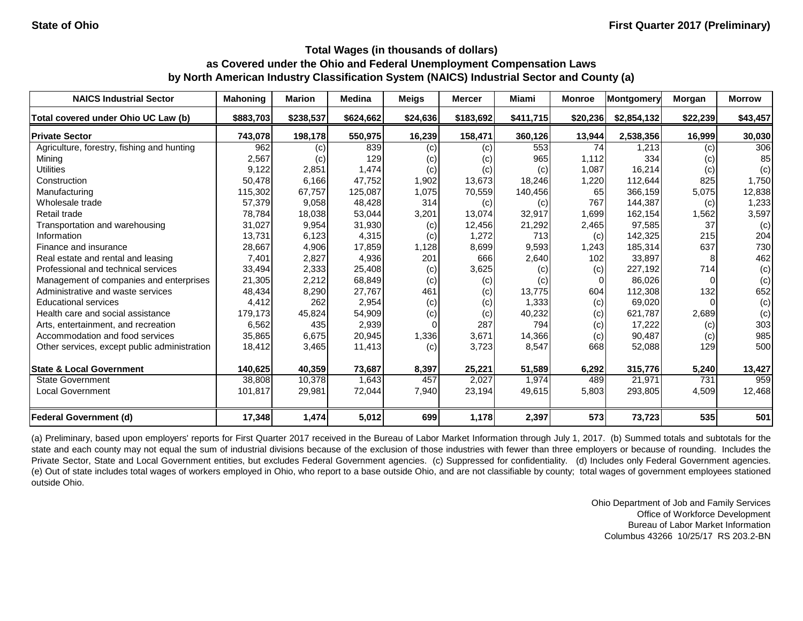| <b>NAICS Industrial Sector</b>               | <b>Mahoning</b> | <b>Marion</b> | <b>Medina</b> | <b>Meigs</b> | <b>Mercer</b> | Miami     | <b>Monroe</b> | Montgomery  | Morgan   | <b>Morrow</b> |
|----------------------------------------------|-----------------|---------------|---------------|--------------|---------------|-----------|---------------|-------------|----------|---------------|
| Total covered under Ohio UC Law (b)          | \$883,703       | \$238,537     | \$624,662     | \$24,636     | \$183,692     | \$411,715 | \$20,236      | \$2,854,132 | \$22,239 | \$43,457      |
| <b>Private Sector</b>                        | 743,078         | 198,178       | 550,975       | 16,239       | 158,471       | 360,126   | 13,944        | 2,538,356   | 16,999   | 30,030        |
| Agriculture, forestry, fishing and hunting   | 962             | (c)           | 839           | (c)          | (c)           | 553       | 74            | 1,213       | (c)      | 306           |
| Mining                                       | 2,567           | (c)           | 129           | (c)          | (c)           | 965       | 1,112         | 334         | (c)      | 85            |
| <b>Utilities</b>                             | 9,122           | 2,851         | 1,474         | (c)          | (c)           | (c)       | 1,087         | 16,214      | (c)      | (c)           |
| Construction                                 | 50,478          | 6,166         | 47,752        | 1,902        | 13,673        | 18,246    | 1,220         | 112,644     | 825      | 1,750         |
| Manufacturing                                | 115,302         | 67,757        | 125,087       | 1,075        | 70,559        | 140,456   | 65            | 366,159     | 5,075    | 12,838        |
| Wholesale trade                              | 57,379          | 9,058         | 48,428        | 314          | (c)           | (c)       | 767           | 144,387     | (c)      | 1,233         |
| Retail trade                                 | 78,784          | 18,038        | 53,044        | 3,201        | 13,074        | 32,917    | 1,699         | 162,154     | 1,562    | 3,597         |
| Transportation and warehousing               | 31,027          | 9,954         | 31,930        | (c)          | 12,456        | 21,292    | 2,465         | 97,585      | 37       | (c)           |
| Information                                  | 13,731          | 6,123         | 4,315         | (c)          | 1,272         | 713       | (c)           | 142,325     | 215      | 204           |
| Finance and insurance                        | 28,667          | 4,906         | 17,859        | 1,128        | 8,699         | 9,593     | 1,243         | 185,314     | 637      | 730           |
| Real estate and rental and leasing           | 7,401           | 2,827         | 4,936         | 201          | 666           | 2,640     | 102           | 33,897      | 8        | 462           |
| Professional and technical services          | 33,494          | 2,333         | 25,408        | (c)          | 3,625         | (c)       | (c)           | 227,192     | 714      | (c)           |
| Management of companies and enterprises      | 21,305          | 2,212         | 68,849        | (c)          | (c)           | (c)       |               | 86,026      |          | (c)           |
| Administrative and waste services            | 48,434          | 8,290         | 27,767        | 461          | (c)           | 13,775    | 604           | 112,308     | 132      | 652           |
| <b>Educational services</b>                  | 4,412           | 262           | 2,954         | (c)          | (c)           | 1,333     | (c)           | 69,020      |          | (c)           |
| Health care and social assistance            | 179,173         | 45,824        | 54,909        | (c)          | (c)           | 40,232    | (c)           | 621,787     | 2,689    | (c)           |
| Arts, entertainment, and recreation          | 6,562           | 435           | 2,939         |              | 287           | 794       | (c)           | 17,222      | (c)      | 303           |
| Accommodation and food services              | 35,865          | 6,675         | 20,945        | 1,336        | 3,671         | 14,366    | (c)           | 90,487      | (c)      | 985           |
| Other services, except public administration | 18,412          | 3,465         | 11,413        | (c)          | 3,723         | 8,547     | 668           | 52,088      | 129      | 500           |
| <b>State &amp; Local Government</b>          | 140,625         | 40,359        | 73,687        | 8,397        | 25,221        | 51,589    | 6,292         | 315,776     | 5,240    | 13,427        |
| <b>State Government</b>                      | 38,808          | 10,378        | 1,643         | 457          | 2,027         | 1,974     | 489           | 21,971      | 731      | 959           |
| <b>Local Government</b>                      | 101,817         | 29,981        | 72,044        | 7,940        | 23,194        | 49,615    | 5,803         | 293,805     | 4,509    | 12,468        |
| <b>Federal Government (d)</b>                | 17,348          | 1,474         | 5,012         | 699          | 1,178         | 2,397     | 573           | 73,723      | 535      | 501           |

(a) Preliminary, based upon employers' reports for First Quarter 2017 received in the Bureau of Labor Market Information through July 1, 2017. (b) Summed totals and subtotals for the state and each county may not equal the sum of industrial divisions because of the exclusion of those industries with fewer than three employers or because of rounding. Includes the Private Sector, State and Local Government entities, but excludes Federal Government agencies. (c) Suppressed for confidentiality. (d) Includes only Federal Government agencies. (e) Out of state includes total wages of workers employed in Ohio, who report to a base outside Ohio, and are not classifiable by county; total wages of government employees stationed outside Ohio.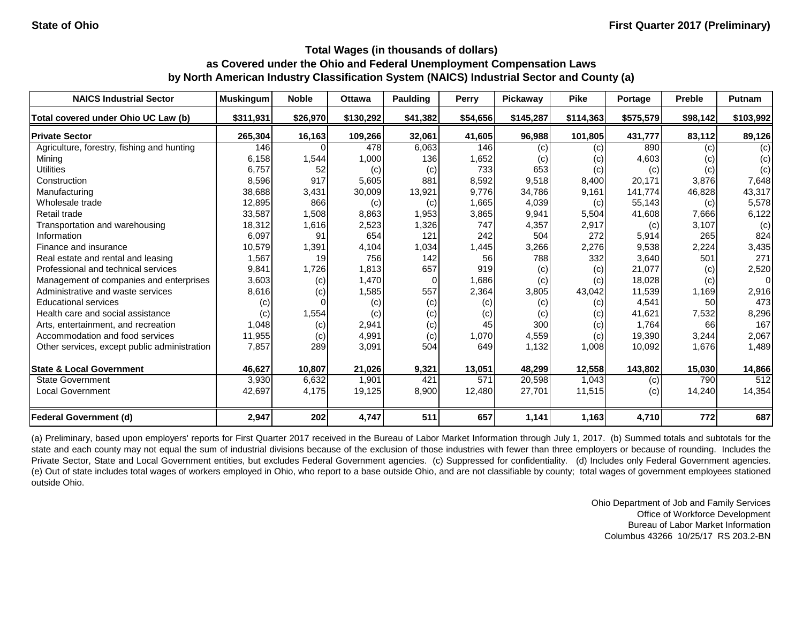| <b>NAICS Industrial Sector</b>               | <b>Muskingum</b> | <b>Noble</b> | <b>Ottawa</b> | <b>Paulding</b> | Perry    | Pickaway                   | <b>Pike</b> | Portage   | <b>Preble</b> | <b>Putnam</b> |
|----------------------------------------------|------------------|--------------|---------------|-----------------|----------|----------------------------|-------------|-----------|---------------|---------------|
| Total covered under Ohio UC Law (b)          | \$311,931        | \$26,970     | \$130,292     | \$41,382        | \$54,656 | \$145,287                  | \$114,363   | \$575,579 | \$98,142      | \$103,992     |
| <b>Private Sector</b>                        | 265,304          | 16,163       | 109,266       | 32,061          | 41,605   | 96,988                     | 101,805     | 431,777   | 83,112        | 89,126        |
| Agriculture, forestry, fishing and hunting   | 146              |              | 478           | 6,063           | 146      | (c)                        | (c)         | 890       | (c)           | (c)           |
| Mining                                       | 6,158            | 1,544        | 1,000         | 136             | 1,652    | $\left( \mathrm{c}\right)$ | (c)         | 4,603     | (c)           | (c)           |
| <b>Utilities</b>                             | 6,757            | 52           | (c)           | (c)             | 733      | 653                        | (c)         | (c)       | (c)           | (c)           |
| Construction                                 | 8,596            | 917          | 5,605         | 881             | 8,592    | 9,518                      | 8,400       | 20,171    | 3,876         | 7,648         |
| Manufacturing                                | 38,688           | 3,431        | 30,009        | 13,921          | 9,776    | 34,786                     | 9,161       | 141,774   | 46,828        | 43,317        |
| Wholesale trade                              | 12,895           | 866          | (c)           | (c)             | 1,665    | 4,039                      | (c)         | 55,143    | (c)           | 5,578         |
| Retail trade                                 | 33,587           | 1,508        | 8,863         | 1,953           | 3,865    | 9,941                      | 5,504       | 41,608    | 7,666         | 6,122         |
| Transportation and warehousing               | 18,312           | 1,616        | 2,523         | 1,326           | 747      | 4,357                      | 2,917       | (c)       | 3,107         | (c)           |
| Information                                  | 6,097            | 91           | 654           | 121             | 242      | 504                        | 272         | 5,914     | 265           | 824           |
| Finance and insurance                        | 10,579           | 1,391        | 4,104         | 1,034           | 1,445    | 3,266                      | 2,276       | 9,538     | 2,224         | 3,435         |
| Real estate and rental and leasing           | 1,567            | 19           | 756           | 142             | 56       | 788                        | 332         | 3,640     | 501           | 271           |
| Professional and technical services          | 9,841            | 1,726        | 1,813         | 657             | 919      | (c)                        | (c)         | 21,077    | (c)           | 2,520         |
| Management of companies and enterprises      | 3,603            | (c)          | 1,470         |                 | 1,686    | (c)                        | (c)         | 18,028    | (c)           | $\Omega$      |
| Administrative and waste services            | 8,616            | (c)          | 1,585         | 557             | 2,364    | 3,805                      | 43,042      | 11,539    | 1,169         | 2,916         |
| <b>Educational services</b>                  | (c)              |              | (c)           | (c)             | (c)      | (c)                        | (c)         | 4,541     | 50            | 473           |
| Health care and social assistance            | (c)              | 1,554        | (c)           | (c)             | (c)      | (c)                        | (c)         | 41,621    | 7,532         | 8,296         |
| Arts, entertainment, and recreation          | 1,048            | (c)          | 2,941         | (c)             | 45       | 300                        | (c)         | 1,764     | 66            | 167           |
| Accommodation and food services              | 11,955           | (c)          | 4,991         | (c)             | 1,070    | 4,559                      | (c)         | 19,390    | 3,244         | 2,067         |
| Other services, except public administration | 7,857            | 289          | 3,091         | 504             | 649      | 1,132                      | 1,008       | 10,092    | 1,676         | 1,489         |
| <b>State &amp; Local Government</b>          | 46,627           | 10,807       | 21,026        | 9,321           | 13,051   | 48,299                     | 12,558      | 143,802   | 15,030        | 14,866        |
| <b>State Government</b>                      | 3,930            | 6,632        | 1,901         | 421             | 571      | 20,598                     | 1,043       | (c)       | 790           | 512           |
| <b>Local Government</b>                      | 42,697           | 4,175        | 19,125        | 8,900           | 12,480   | 27,701                     | 11,515      | (c)       | 14,240        | 14,354        |
| <b>Federal Government (d)</b>                | 2,947            | 202          | 4,747         | 511             | 657      | 1,141                      | 1,163       | 4,710     | 772           | 687           |

(a) Preliminary, based upon employers' reports for First Quarter 2017 received in the Bureau of Labor Market Information through July 1, 2017. (b) Summed totals and subtotals for the state and each county may not equal the sum of industrial divisions because of the exclusion of those industries with fewer than three employers or because of rounding. Includes the Private Sector, State and Local Government entities, but excludes Federal Government agencies. (c) Suppressed for confidentiality. (d) Includes only Federal Government agencies. (e) Out of state includes total wages of workers employed in Ohio, who report to a base outside Ohio, and are not classifiable by county; total wages of government employees stationed outside Ohio.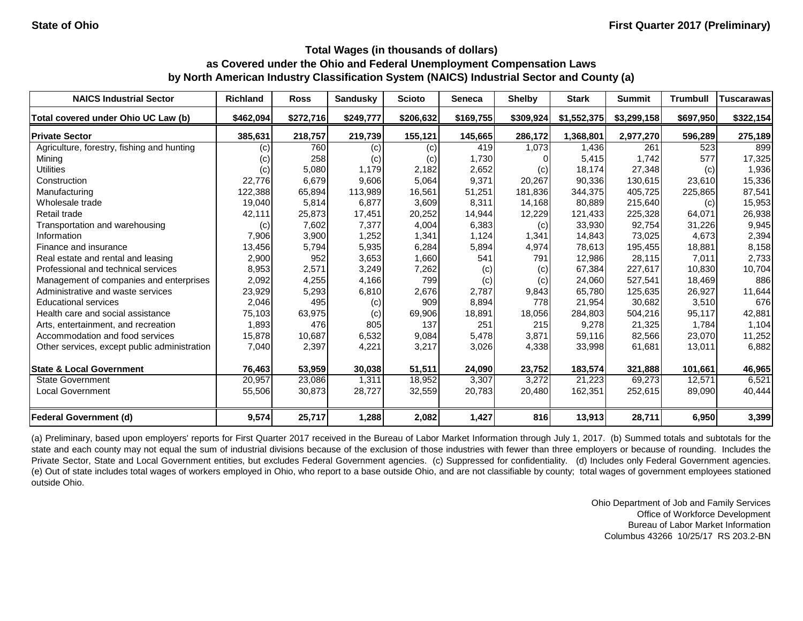| <b>NAICS Industrial Sector</b>               | <b>Richland</b> | <b>Ross</b> | <b>Sandusky</b> | <b>Scioto</b> | <b>Seneca</b> | <b>Shelby</b> | <b>Stark</b> | <b>Summit</b> | <b>Trumbull</b> | <b>Tuscarawas</b> |
|----------------------------------------------|-----------------|-------------|-----------------|---------------|---------------|---------------|--------------|---------------|-----------------|-------------------|
| Total covered under Ohio UC Law (b)          | \$462,094       | \$272,716   | \$249,777       | \$206,632     | \$169,755     | \$309,924     | \$1,552,375  | \$3,299,158   | \$697,950       | \$322,154         |
| <b>Private Sector</b>                        | 385,631         | 218,757     | 219,739         | 155,121       | 145,665       | 286,172       | 1,368,801    | 2,977,270     | 596,289         | 275,189           |
| Agriculture, forestry, fishing and hunting   | (c)             | 760         | (c)             | (c)           | 419           | 1,073         | 1,436        | 261           | 523             | 899               |
| Mining                                       | (c)             | 258         | (c)             | (c)           | 1,730         | 01            | 5,415        | 1,742         | 577             | 17,325            |
| <b>Utilities</b>                             | (c)             | 5,080       | 1,179           | 2,182         | 2,652         | (c)           | 18,174       | 27,348        | (c)             | 1,936             |
| Construction                                 | 22,776          | 6,679       | 9,606           | 5,064         | 9,371         | 20,267        | 90,336       | 130,615       | 23,610          | 15,336            |
| Manufacturing                                | 122,388         | 65,894      | 113,989         | 16,561        | 51,251        | 181,836       | 344,375      | 405,725       | 225,865         | 87,541            |
| Wholesale trade                              | 19,040          | 5,814       | 6,877           | 3,609         | 8,311         | 14,168        | 80,889       | 215,640       | (c)             | 15,953            |
| Retail trade                                 | 42,111          | 25,873      | 17,451          | 20,252        | 14,944        | 12,229        | 121,433      | 225,328       | 64,071          | 26,938            |
| Transportation and warehousing               | (c)             | 7,602       | 7,377           | 4,004         | 6,383         | (c)           | 33,930       | 92,754        | 31,226          | 9,945             |
| Information                                  | 7,906           | 3,900       | 1,252           | 1,341         | 1,124         | 1,341         | 14,843       | 73,025        | 4,673           | 2,394             |
| Finance and insurance                        | 13,456          | 5,794       | 5,935           | 6,284         | 5,894         | 4,974         | 78,613       | 195,455       | 18,881          | 8,158             |
| Real estate and rental and leasing           | 2,900           | 952         | 3,653           | 1,660         | 541           | 791           | 12,986       | 28,115        | 7,011           | 2,733             |
| Professional and technical services          | 8,953           | 2,571       | 3,249           | 7,262         | (c)           | (c)           | 67,384       | 227,617       | 10,830          | 10,704            |
| Management of companies and enterprises      | 2,092           | 4,255       | 4,166           | 799           | (c)           | (c)           | 24,060       | 527,541       | 18,469          | 886               |
| Administrative and waste services            | 23,929          | 5,293       | 6,810           | 2,676         | 2,787         | 9,843         | 65,780       | 125,635       | 26,927          | 11,644            |
| <b>Educational services</b>                  | 2,046           | 495         | (c)             | 909           | 8,894         | 778           | 21,954       | 30,682        | 3,510           | 676               |
| Health care and social assistance            | 75,103          | 63,975      | (c)             | 69,906        | 18,891        | 18,056        | 284,803      | 504,216       | 95,117          | 42,881            |
| Arts, entertainment, and recreation          | 1,893           | 476         | 805             | 137           | 251           | 215           | 9,278        | 21,325        | 1,784           | 1,104             |
| Accommodation and food services              | 15,878          | 10,687      | 6,532           | 9,084         | 5,478         | 3,871         | 59,116       | 82,566        | 23,070          | 11,252            |
| Other services, except public administration | 7,040           | 2,397       | 4,221           | 3,217         | 3,026         | 4,338         | 33,998       | 61,681        | 13,011          | 6,882             |
| <b>State &amp; Local Government</b>          | 76,463          | 53,959      | 30,038          | 51,511        | 24,090        | 23,752        | 183,574      | 321,888       | 101,661         | 46,965            |
| <b>State Government</b>                      | 20,957          | 23,086      | 1,311           | 18,952        | 3,307         | 3,272         | 21,223       | 69,273        | 12,571          | 6,521             |
| <b>Local Government</b>                      | 55,506          | 30,873      | 28,727          | 32,559        | 20,783        | 20,480        | 162,351      | 252,615       | 89,090          | 40,444            |
| <b>Federal Government (d)</b>                | 9,574           | 25,717      | 1,288           | 2,082         | 1,427         | 816           | 13,913       | 28,711        | 6,950           | 3,399             |

(a) Preliminary, based upon employers' reports for First Quarter 2017 received in the Bureau of Labor Market Information through July 1, 2017. (b) Summed totals and subtotals for the state and each county may not equal the sum of industrial divisions because of the exclusion of those industries with fewer than three employers or because of rounding. Includes the Private Sector, State and Local Government entities, but excludes Federal Government agencies. (c) Suppressed for confidentiality. (d) Includes only Federal Government agencies. (e) Out of state includes total wages of workers employed in Ohio, who report to a base outside Ohio, and are not classifiable by county; total wages of government employees stationed outside Ohio.